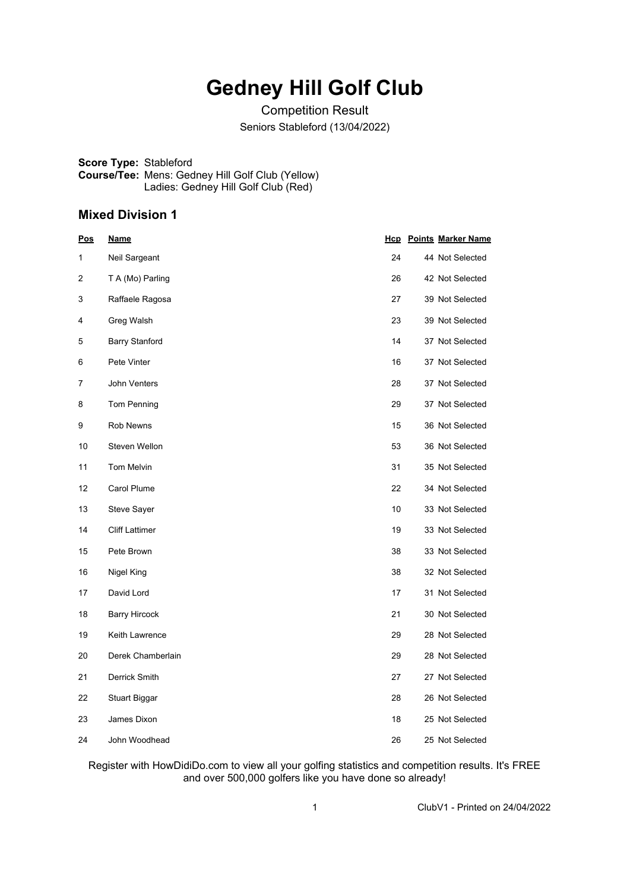# **Gedney Hill Golf Club**

Competition Result Seniors Stableford (13/04/2022)

**Score Type:** Stableford **Course/Tee:** Mens: Gedney Hill Golf Club (Yellow) Ladies: Gedney Hill Golf Club (Red)

#### **Mixed Division 1**

| <u>Pos</u> | <u>Name</u>           |    | <b>Hcp</b> Points Marker Name |
|------------|-----------------------|----|-------------------------------|
| 1          | Neil Sargeant         | 24 | 44 Not Selected               |
| 2          | T A (Mo) Parling      | 26 | 42 Not Selected               |
| 3          | Raffaele Ragosa       | 27 | 39 Not Selected               |
| 4          | Greg Walsh            | 23 | 39 Not Selected               |
| 5          | <b>Barry Stanford</b> | 14 | 37 Not Selected               |
| 6          | Pete Vinter           | 16 | 37 Not Selected               |
| 7          | John Venters          | 28 | 37 Not Selected               |
| 8          | Tom Penning           | 29 | 37 Not Selected               |
| 9          | <b>Rob Newns</b>      | 15 | 36 Not Selected               |
| 10         | Steven Wellon         | 53 | 36 Not Selected               |
| 11         | Tom Melvin            | 31 | 35 Not Selected               |
| 12         | Carol Plume           | 22 | 34 Not Selected               |
| 13         | <b>Steve Sayer</b>    | 10 | 33 Not Selected               |
| 14         | <b>Cliff Lattimer</b> | 19 | 33 Not Selected               |
| 15         | Pete Brown            | 38 | 33 Not Selected               |
| 16         | Nigel King            | 38 | 32 Not Selected               |
| 17         | David Lord            | 17 | 31 Not Selected               |
| 18         | <b>Barry Hircock</b>  | 21 | 30 Not Selected               |
| 19         | Keith Lawrence        | 29 | 28 Not Selected               |
| 20         | Derek Chamberlain     | 29 | 28 Not Selected               |
| 21         | Derrick Smith         | 27 | 27 Not Selected               |
| 22         | <b>Stuart Biggar</b>  | 28 | 26 Not Selected               |
| 23         | James Dixon           | 18 | 25 Not Selected               |
| 24         | John Woodhead         | 26 | 25 Not Selected               |

Register with HowDidiDo.com to view all your golfing statistics and competition results. It's FREE and over 500,000 golfers like you have done so already!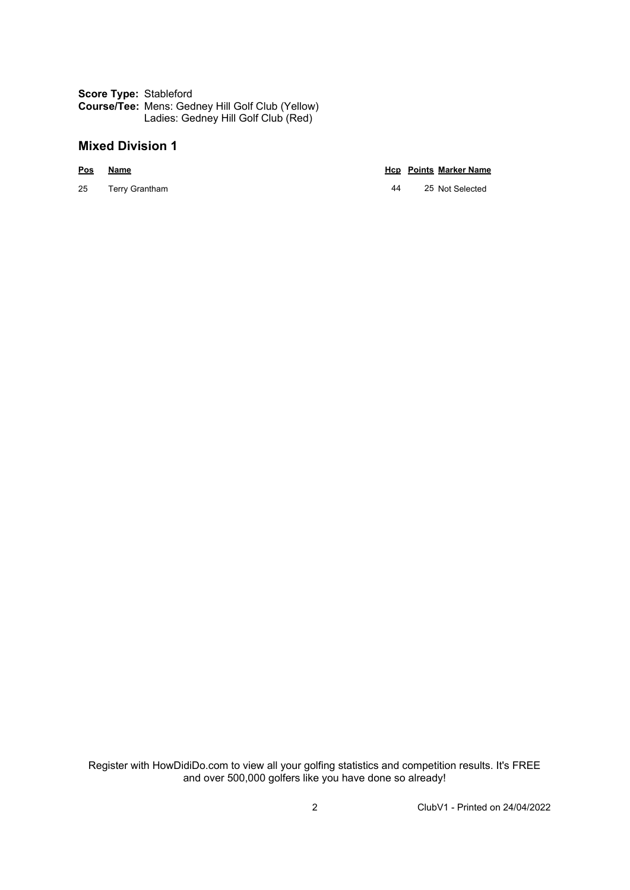**Score Type:** Stableford **Course/Tee:** Mens: Gedney Hill Golf Club (Yellow) Ladies: Gedney Hill Golf Club (Red)

### **Mixed Division 1**

**Pos Name Hcp Points Marker Name**

25 Terry Grantham 44 25 Not Selected

Register with HowDidiDo.com to view all your golfing statistics and competition results. It's FREE and over 500,000 golfers like you have done so already!